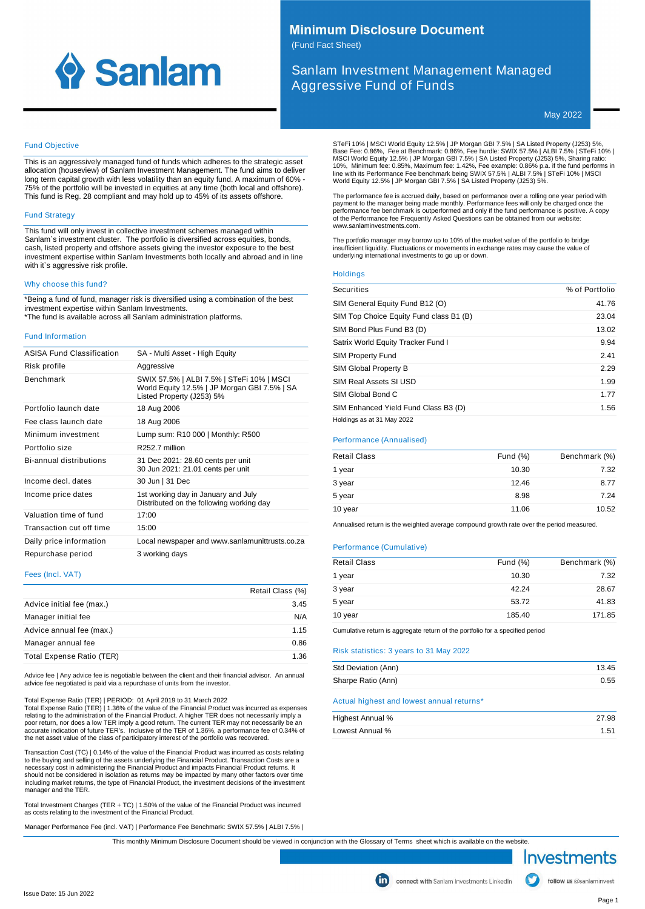

# **Minimum Disclosure Document**

(Fund Fact Sheet)

Sanlam Investment Management Managed Aggressive Fund of Funds

May 2022

#### Fund Objective

This is an aggressively managed fund of funds which adheres to the strategic asset allocation (houseview) of Sanlam Investment Management. The fund aims to deliver long term capital growth with less volatility than an equity fund. A maximum of 60% - 75% of the portfolio will be invested in equities at any time (both local and offshore). This fund is Reg. 28 compliant and may hold up to 45% of its assets offshore.

# Fund Strategy

This fund will only invest in collective investment schemes managed within Sanlam`s investment cluster. The portfolio is diversified across equities, bonds, cash, listed property and offshore assets giving the investor exposure to the best investment expertise within Sanlam Investments both locally and abroad and in line with it`s aggressive risk profile.

### Why choose this fund?

\*Being a fund of fund, manager risk is diversified using a combination of the best investment expertise within Sanlam Investments. \*The fund is available across all Sanlam administration platforms.

#### Fund Information

| ASISA Fund Classification | SA - Multi Asset - High Equity                                                                                         |
|---------------------------|------------------------------------------------------------------------------------------------------------------------|
| Risk profile              | Aggressive                                                                                                             |
| <b>Benchmark</b>          | SWIX 57.5%   ALBI 7.5%   STeFi 10%   MSCI<br>World Equity 12.5%   JP Morgan GBI 7.5%   SA<br>Listed Property (J253) 5% |
| Portfolio launch date     | 18 Aug 2006                                                                                                            |
| Fee class launch date     | 18 Aug 2006                                                                                                            |
| Minimum investment        | Lump sum: R10 000   Monthly: R500                                                                                      |
| Portfolio size            | R252.7 million                                                                                                         |
| Bi-annual distributions   | 31 Dec 2021: 28.60 cents per unit<br>30 Jun 2021: 21.01 cents per unit                                                 |
| Income decl. dates        | 30 Jun   31 Dec                                                                                                        |
| Income price dates        | 1st working day in January and July<br>Distributed on the following working day                                        |
| Valuation time of fund    | 17:00                                                                                                                  |
| Transaction cut off time  | 15:00                                                                                                                  |
| Daily price information   | Local newspaper and www.sanlamunittrusts.co.za                                                                         |
| Repurchase period         | 3 working days                                                                                                         |

#### Fees (Incl. VAT)

|                           | Retail Class (%) |
|---------------------------|------------------|
| Advice initial fee (max.) | 3.45             |
| Manager initial fee       | N/A              |
| Advice annual fee (max.)  | 1.15             |
| Manager annual fee        | 0.86             |
| Total Expense Ratio (TER) | 1.36             |

Advice fee | Any advice fee is negotiable between the client and their financial advisor. An annual advice fee negotiated is paid via a repurchase of units from the investor.

Total Expense Ratio (TER) | PERIOD: 01 April 2019 to 31 March 2022

Total Expense Ratio (TER) | 1.36% of the value of the Financial Product was incurred as expenses relating to the administration of the Financial Product. A higher TER does not necessarily imply a poor return, nor does a low TER imply a good return. The current TER may not necessarily be an accurate indication of future TER's. Inclusive of the TER of 1.36%, a performance fee of 0.34% of the net asset value of the class of participatory interest of the portfolio was recovered.

Transaction Cost (TC) | 0.14% of the value of the Financial Product was incurred as costs relating to the buying and selling of the assets underlying the Financial Product. Transaction Costs are a necessary cost in administering the Financial Product and impacts Financial Product returns. It should not be considered in isolation as returns may be impacted by many other factors over time including market returns, the type of Financial Product, the investment decisions of the investment manager and the TER.

Total Investment Charges (TER + TC) | 1.50% of the value of the Financial Product was incurred as costs relating to the investment of the Financial Product.

Manager Performance Fee (incl. VAT) | Performance Fee Benchmark: SWIX 57.5% | ALBI 7.5% |

STeFi 10% | MSCI World Equity 12.5% | JP Morgan GBI 7.5% | SA Listed Property (J253) 5%,<br>Base Fee: 0.86%, Fee at Benchmark: 0.86%, Fee hurdle: SWIX 57.5% | ALBI 7.5% | STeFi 10% |<br>MSCI World Equity 12.5% | JP Morgan GBI 7. World Equity 12.5% | JP Morgan GBI 7.5% | SA Listed Property (J253) 5%.

The performance fee is accrued daily, based on performance over a rolling one year period with<br>payment to the manager being made monthly. Performance fees will only be charged once the<br>performance fee benchmark is outperfo of the Performance fee Frequently Asked Questions can be obtained from our website: www.sanlaminvestments.com.

The portfolio manager may borrow up to 10% of the market value of the portfolio to bridge insufficient liquidity. Fluctuations or movements in exchange rates may cause the value of underlying international investments to go up or down.

#### **Holdings**

| Securities                              | % of Portfolio |
|-----------------------------------------|----------------|
| SIM General Equity Fund B12 (O)         | 41.76          |
| SIM Top Choice Equity Fund class B1 (B) | 23.04          |
| SIM Bond Plus Fund B3 (D)               | 13.02          |
| Satrix World Equity Tracker Fund I      | 9.94           |
| <b>SIM Property Fund</b>                | 2.41           |
| SIM Global Property B                   | 2.29           |
| SIM Real Assets SI USD                  | 1.99           |
| SIM Global Bond C                       | 1.77           |
| SIM Enhanced Yield Fund Class B3 (D)    | 1.56           |
| Holdings as at 31 May 2022              |                |

# Performance (Annualised)

| <b>Retail Class</b> | Fund $(\%)$ | Benchmark (%) |
|---------------------|-------------|---------------|
| 1 year              | 10.30       | 7.32          |
| 3 year              | 12.46       | 8.77          |
| 5 year              | 8.98        | 7.24          |
| 10 year             | 11.06       | 10.52         |

Annualised return is the weighted average compound growth rate over the period measured.

# Performance (Cumulative)

| <b>Retail Class</b> | Fund $(\%)$ | Benchmark (%) |
|---------------------|-------------|---------------|
| 1 year              | 10.30       | 7.32          |
| 3 year              | 42.24       | 28.67         |
| 5 year              | 53.72       | 41.83         |
| 10 year             | 185.40      | 171.85        |

Cumulative return is aggregate return of the portfolio for a specified period

# Risk statistics: 3 years to 31 May 2022

| Std Deviation (Ann) | 13.45 |
|---------------------|-------|
| Sharpe Ratio (Ann)  | 0.55  |
|                     |       |

# Actual highest and lowest annual returns\*

| Highest Annual % | 27.98 |
|------------------|-------|
| Lowest Annual %  |       |

This monthly Minimum Disclosure Document should be viewed in conjunction with the Glossary of Terms sheet which is available on the website.



follow us @sanlaminvest